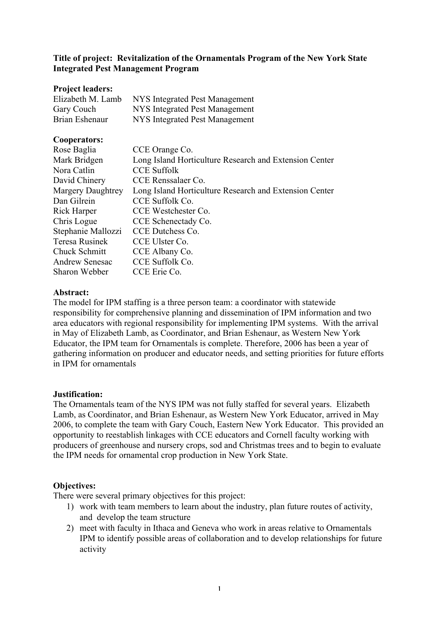# Title of project: Revitalization of the Ornamentals Program of the New York State Integrated Pest Management Program

### Project leaders:

| Elizabeth M. Lamb | NYS Integrated Pest Management |
|-------------------|--------------------------------|
| Gary Couch        | NYS Integrated Pest Management |
| Brian Eshenaur    | NYS Integrated Pest Management |

# Cooperators:

| Rose Baglia              | CCE Orange Co.                                         |
|--------------------------|--------------------------------------------------------|
| Mark Bridgen             | Long Island Horticulture Research and Extension Center |
| Nora Catlin              | <b>CCE Suffolk</b>                                     |
| David Chinery            | CCE Renssalaer Co.                                     |
| <b>Margery Daughtrey</b> | Long Island Horticulture Research and Extension Center |
| Dan Gilrein              | CCE Suffolk Co.                                        |
| Rick Harper              | CCE Westchester Co.                                    |
| Chris Logue              | CCE Schenectady Co.                                    |
| Stephanie Mallozzi       | CCE Dutchess Co.                                       |
| Teresa Rusinek           | CCE Ulster Co.                                         |
| Chuck Schmitt            | CCE Albany Co.                                         |
| <b>Andrew Senesac</b>    | CCE Suffolk Co.                                        |
| Sharon Webber            | CCE Erie Co.                                           |

## Abstract:

The model for IPM staffing is a three person team: a coordinator with statewide responsibility for comprehensive planning and dissemination of IPM information and two area educators with regional responsibility for implementing IPM systems. With the arrival in May of Elizabeth Lamb, as Coordinator, and Brian Eshenaur, as Western New York Educator, the IPM team for Ornamentals is complete. Therefore, 2006 has been a year of gathering information on producer and educator needs, and setting priorities for future efforts in IPM for ornamentals

### Justification:

The Ornamentals team of the NYS IPM was not fully staffed for several years. Elizabeth Lamb, as Coordinator, and Brian Eshenaur, as Western New York Educator, arrived in May 2006, to complete the team with Gary Couch, Eastern New York Educator. This provided an opportunity to reestablish linkages with CCE educators and Cornell faculty working with producers of greenhouse and nursery crops, sod and Christmas trees and to begin to evaluate the IPM needs for ornamental crop production in New York State.

# Objectives:

There were several primary objectives for this project:

- 1) work with team members to learn about the industry, plan future routes of activity, and develop the team structure
- 2) meet with faculty in Ithaca and Geneva who work in areas relative to Ornamentals IPM to identify possible areas of collaboration and to develop relationships for future activity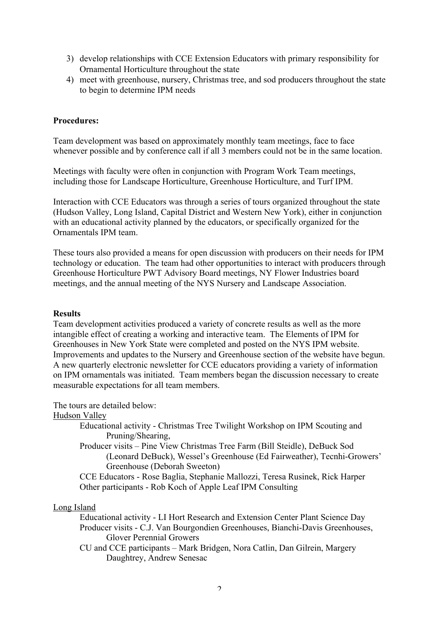- 3) develop relationships with CCE Extension Educators with primary responsibility for Ornamental Horticulture throughout the state
- 4) meet with greenhouse, nursery, Christmas tree, and sod producers throughout the state to begin to determine IPM needs

## Procedures:

Team development was based on approximately monthly team meetings, face to face whenever possible and by conference call if all 3 members could not be in the same location.

Meetings with faculty were often in conjunction with Program Work Team meetings, including those for Landscape Horticulture, Greenhouse Horticulture, and Turf IPM.

Interaction with CCE Educators was through a series of tours organized throughout the state (Hudson Valley, Long Island, Capital District and Western New York), either in conjunction with an educational activity planned by the educators, or specifically organized for the Ornamentals IPM team.

These tours also provided a means for open discussion with producers on their needs for IPM technology or education. The team had other opportunities to interact with producers through Greenhouse Horticulture PWT Advisory Board meetings, NY Flower Industries board meetings, and the annual meeting of the NYS Nursery and Landscape Association.

### **Results**

Team development activities produced a variety of concrete results as well as the more intangible effect of creating a working and interactive team. The Elements of IPM for Greenhouses in New York State were completed and posted on the NYS IPM website. Improvements and updates to the Nursery and Greenhouse section of the website have begun. A new quarterly electronic newsletter for CCE educators providing a variety of information on IPM ornamentals was initiated. Team members began the discussion necessary to create measurable expectations for all team members.

The tours are detailed below:

#### Hudson Valley

- Educational activity Christmas Tree Twilight Workshop on IPM Scouting and Pruning/Shearing,
- Producer visits Pine View Christmas Tree Farm (Bill Steidle), DeBuck Sod (Leonard DeBuck), Wessel's Greenhouse (Ed Fairweather), Tecnhi-Growers' Greenhouse (Deborah Sweeton)

CCE Educators - Rose Baglia, Stephanie Mallozzi, Teresa Rusinek, Rick Harper Other participants - Rob Koch of Apple Leaf IPM Consulting

### Long Island

Educational activity - LI Hort Research and Extension Center Plant Science Day Producer visits - C.J. Van Bourgondien Greenhouses, Bianchi-Davis Greenhouses, Glover Perennial Growers

CU and CCE participants – Mark Bridgen, Nora Catlin, Dan Gilrein, Margery Daughtrey, Andrew Senesac